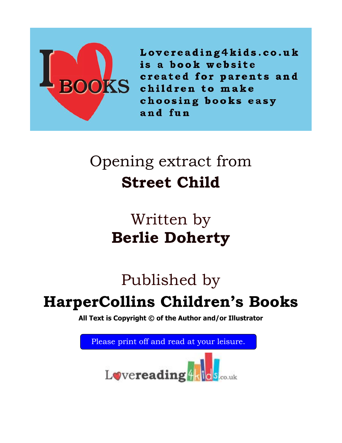

Lovereading4kids.co.uk is a book website created for parents and children to make choosing books easy and fun

# Opening extract from **Street Child**

# Written by **Berlie Doherty**

# Published by

# **HarperCollins Children's Books**

**All Text is Copyright © of the Author and/or Illustrator**

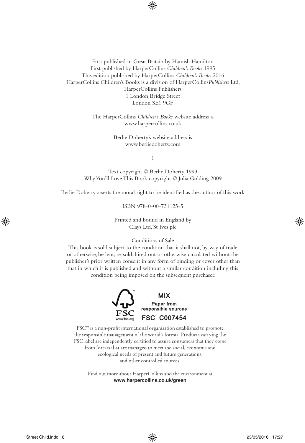#### First published in Great Britain by Hamish Hamilton First published by HarperCollins *Children's Books* 1995 This edition published by HarperCollins *Children's Books* 2016 HarperCollins Children's Books is a division of HarperCollins*Publishers* Ltd, HarperCollins Publishers 1 London Bridge Street London SE1 9GF

The HarperCollins *Children's Books* website address is www.harpercollins.co.uk

> Berlie Doherty's website address is www.berliedoherty.com

> > 1

Text copyright © Berlie Doherty 1993 Why You'll Love This Book copyright © Julia Golding 2009

Berlie Doherty asserts the moral right to be identified as the author of this work

ISBN 978-0-00-731125-5

Printed and bound in England by Clays Ltd, St Ives plc

#### Conditions of Sale

This book is sold subject to the condition that it shall not, by way of trade or otherwise, be lent, re-sold, hired out or otherwise circulated without the publisher's prior written consent in any form of binding or cover other than that in which it is published and without a similar condition including this condition being imposed on the subsequent purchaser.



FSC<sup>™</sup> is a non-profit international organisation established to promote the responsible management of the world's forests. Products carrying the FSC label are independently certified to assure consumers that they come from forests that are managed to meet the social, economic and ecological needs of present and future generations, and other controlled sources.

Find out more about HarperCollins and the environment at www.harpercollins.co.uk/green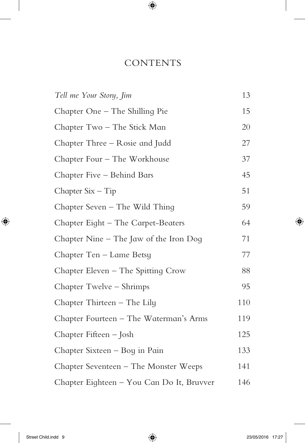#### **CONTENTS**

| Tell me Your Story, Jim                   | 13  |
|-------------------------------------------|-----|
| Chapter One – The Shilling Pie            | 15  |
| Chapter Two – The Stick Man               | 20  |
| Chapter Three – Rosie and Judd            | 27  |
| Chapter Four – The Workhouse              | 37  |
| Chapter Five – Behind Bars                | 45  |
| Chapter $Six - Tip$                       | 51  |
| Chapter Seven – The Wild Thing            | 59  |
| Chapter Eight - The Carpet-Beaters        | 64  |
| Chapter Nine $-$ The Jaw of the Iron Dog  | 71  |
| Chapter Ten – Lame Betsy                  | 77  |
| Chapter Eleven – The Spitting Crow        | 88  |
| Chapter Twelve – Shrimps                  | 95  |
| Chapter Thirteen – The Lily               | 110 |
| Chapter Fourteen – The Waterman's Arms    | 119 |
| Chapter Fifteen – Josh                    | 125 |
| Chapter Sixteen – Boy in Pain             | 133 |
| Chapter Seventeen – The Monster Weeps     | 141 |
| Chapter Eighteen - You Can Do It, Bruvver | 146 |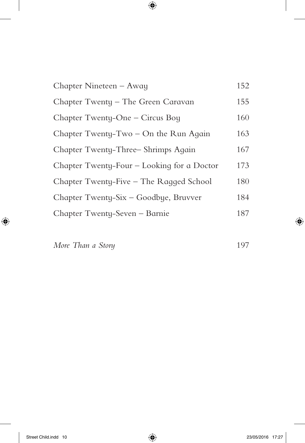| Chapter Nineteen – Away                    | 152 |
|--------------------------------------------|-----|
| Chapter Twenty - The Green Caravan         | 155 |
| Chapter Twenty-One – Circus Boy            | 160 |
| Chapter Twenty-Two – On the Run Again      | 163 |
| Chapter Twenty-Three-Shrimps Again         | 167 |
| Chapter Twenty-Four – Looking for a Doctor | 173 |
| Chapter Twenty-Five – The Ragged School    | 180 |
| Chapter Twenty-Six – Goodbye, Bruvver      | 184 |
| Chapter Twenty-Seven - Barnie              | 187 |

*More Than a Story* 197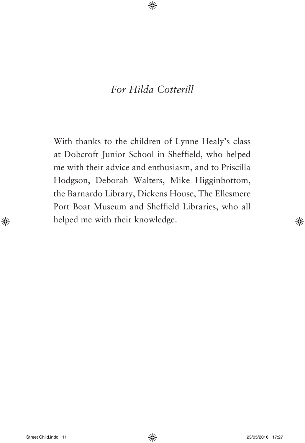#### *For Hilda Cotterill*

With thanks to the children of Lynne Healy's class at Dobcroft Junior School in Sheffield, who helped me with their advice and enthusiasm, and to Priscilla Hodgson, Deborah Walters, Mike Higginbottom, the Barnardo Library, Dickens House, The Ellesmere Port Boat Museum and Sheffield Libraries, who all helped me with their knowledge.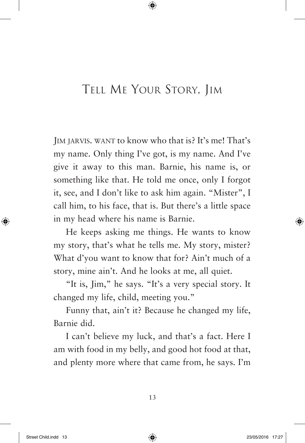## Tell Me Your Story, Jim

Jim jarvis. want to know who that is? It's me! That's my name. Only thing I've got, is my name. And I've give it away to this man. Barnie, his name is, or something like that. He told me once, only I forgot it, see, and I don't like to ask him again. "Mister", I call him, to his face, that is. But there's a little space in my head where his name is Barnie.

He keeps asking me things. He wants to know my story, that's what he tells me. My story, mister? What d'you want to know that for? Ain't much of a story, mine ain't. And he looks at me, all quiet.

"It is, Jim," he says. "It's a very special story. It changed my life, child, meeting you."

Funny that, ain't it? Because he changed my life, Barnie did.

I can't believe my luck, and that's a fact. Here I am with food in my belly, and good hot food at that, and plenty more where that came from, he says. I'm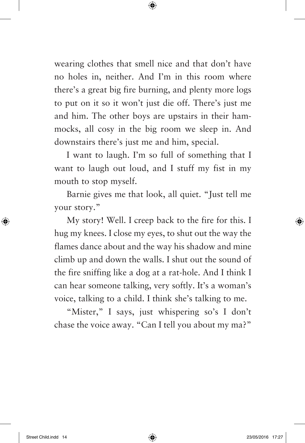wearing clothes that smell nice and that don't have no holes in, neither. And I'm in this room where there's a great big fire burning, and plenty more logs to put on it so it won't just die off. There's just me and him. The other boys are upstairs in their hammocks, all cosy in the big room we sleep in. And downstairs there's just me and him, special.

I want to laugh. I'm so full of something that I want to laugh out loud, and I stuff my fist in my mouth to stop myself.

Barnie gives me that look, all quiet. "Just tell me your story."

My story! Well. I creep back to the fire for this. I hug my knees. I close my eyes, to shut out the way the flames dance about and the way his shadow and mine climb up and down the walls. I shut out the sound of the fire sniffing like a dog at a rat-hole. And I think I can hear someone talking, very softly. It's a woman's voice, talking to a child. I think she's talking to me.

"Mister," I says, just whispering so's I don't chase the voice away. "Can I tell you about my ma?"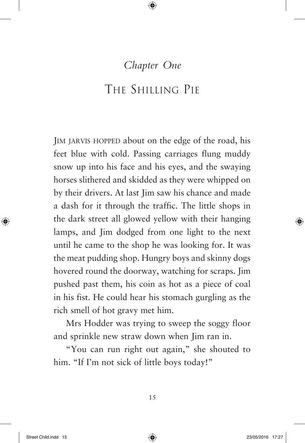#### *Chapter One*

#### The Shilling Pie

IM JARVIS HOPPED about on the edge of the road, his feet blue with cold. Passing carriages flung muddy snow up into his face and his eyes, and the swaying horses slithered and skidded as they were whipped on by their drivers. At last Jim saw his chance and made a dash for it through the traffic. The little shops in the dark street all glowed yellow with their hanging lamps, and Jim dodged from one light to the next until he came to the shop he was looking for. It was the meat pudding shop. Hungry boys and skinny dogs hovered round the doorway, watching for scraps. Jim pushed past them, his coin as hot as a piece of coal in his fist. He could hear his stomach gurgling as the rich smell of hot gravy met him.

Mrs Hodder was trying to sweep the soggy floor and sprinkle new straw down when Jim ran in.

"You can run right out again," she shouted to him. "If I'm not sick of little boys today!"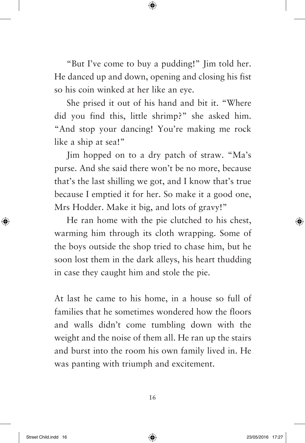"But I've come to buy a pudding!" Jim told her. He danced up and down, opening and closing his fist so his coin winked at her like an eye.

She prised it out of his hand and bit it. "Where did you find this, little shrimp?" she asked him. "And stop your dancing! You're making me rock like a ship at sea!"

Jim hopped on to a dry patch of straw. "Ma's purse. And she said there won't be no more, because that's the last shilling we got, and I know that's true because I emptied it for her. So make it a good one, Mrs Hodder. Make it big, and lots of gravy!"

He ran home with the pie clutched to his chest, warming him through its cloth wrapping. Some of the boys outside the shop tried to chase him, but he soon lost them in the dark alleys, his heart thudding in case they caught him and stole the pie.

At last he came to his home, in a house so full of families that he sometimes wondered how the floors and walls didn't come tumbling down with the weight and the noise of them all. He ran up the stairs and burst into the room his own family lived in. He was panting with triumph and excitement.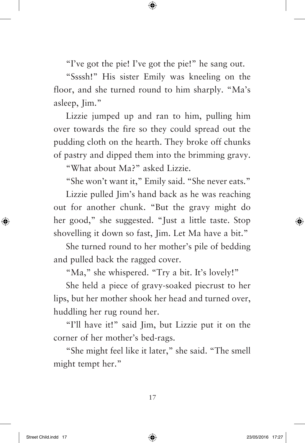"I've got the pie! I've got the pie!" he sang out.

"Ssssh!" His sister Emily was kneeling on the floor, and she turned round to him sharply. "Ma's asleep, Jim."

Lizzie jumped up and ran to him, pulling him over towards the fire so they could spread out the pudding cloth on the hearth. They broke off chunks of pastry and dipped them into the brimming gravy.

"What about Ma?" asked Lizzie.

"She won't want it," Emily said. "She never eats."

Lizzie pulled Jim's hand back as he was reaching out for another chunk. "But the gravy might do her good," she suggested. "Just a little taste. Stop shovelling it down so fast, Jim. Let Ma have a bit."

She turned round to her mother's pile of bedding and pulled back the ragged cover.

"Ma," she whispered. "Try a bit. It's lovely!"

She held a piece of gravy-soaked piecrust to her lips, but her mother shook her head and turned over, huddling her rug round her.

"I'll have it!" said Jim, but Lizzie put it on the corner of her mother's bed-rags.

"She might feel like it later," she said. "The smell might tempt her."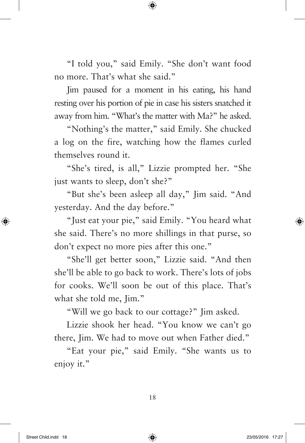"I told you," said Emily. "She don't want food no more. That's what she said."

Jim paused for a moment in his eating, his hand resting over his portion of pie in case his sisters snatched it away from him. "What's the matter with Ma?" he asked.

"Nothing's the matter," said Emily. She chucked a log on the fire, watching how the flames curled themselves round it.

"She's tired, is all," Lizzie prompted her. "She just wants to sleep, don't she?"

"But she's been asleep all day," Jim said. "And yesterday. And the day before."

"Just eat your pie," said Emily. "You heard what she said. There's no more shillings in that purse, so don't expect no more pies after this one."

"She'll get better soon," Lizzie said. "And then she'll be able to go back to work. There's lots of jobs for cooks. We'll soon be out of this place. That's what she told me, Iim."

"Will we go back to our cottage?" Jim asked.

Lizzie shook her head. "You know we can't go there, Jim. We had to move out when Father died."

"Eat your pie," said Emily. "She wants us to enjoy it."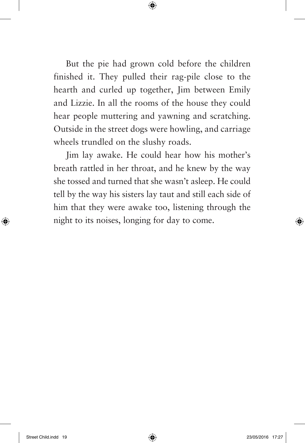But the pie had grown cold before the children finished it. They pulled their rag-pile close to the hearth and curled up together, Jim between Emily and Lizzie. In all the rooms of the house they could hear people muttering and yawning and scratching. Outside in the street dogs were howling, and carriage wheels trundled on the slushy roads.

Jim lay awake. He could hear how his mother's breath rattled in her throat, and he knew by the way she tossed and turned that she wasn't asleep. He could tell by the way his sisters lay taut and still each side of him that they were awake too, listening through the night to its noises, longing for day to come.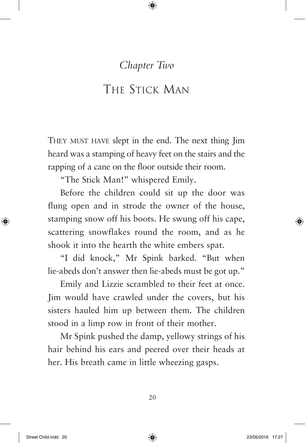#### *Chapter Two*

## The Stick Man

They must have slept in the end. The next thing Jim heard was a stamping of heavy feet on the stairs and the rapping of a cane on the floor outside their room.

"The Stick Man!" whispered Emily.

Before the children could sit up the door was flung open and in strode the owner of the house, stamping snow off his boots. He swung off his cape, scattering snowflakes round the room, and as he shook it into the hearth the white embers spat.

"I did knock," Mr Spink barked. "But when lie-abeds don't answer then lie-abeds must be got up."

Emily and Lizzie scrambled to their feet at once. Jim would have crawled under the covers, but his sisters hauled him up between them. The children stood in a limp row in front of their mother.

Mr Spink pushed the damp, yellowy strings of his hair behind his ears and peered over their heads at her. His breath came in little wheezing gasps.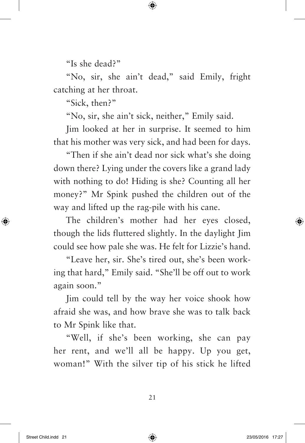"Is she dead?"

"No, sir, she ain't dead," said Emily, fright catching at her throat.

"Sick, then?"

"No, sir, she ain't sick, neither," Emily said.

Jim looked at her in surprise. It seemed to him that his mother was very sick, and had been for days.

"Then if she ain't dead nor sick what's she doing down there? Lying under the covers like a grand lady with nothing to do! Hiding is she? Counting all her money?" Mr Spink pushed the children out of the way and lifted up the rag-pile with his cane.

The children's mother had her eyes closed, though the lids fluttered slightly. In the daylight Jim could see how pale she was. He felt for Lizzie's hand.

"Leave her, sir. She's tired out, she's been working that hard," Emily said. "She'll be off out to work again soon."

Jim could tell by the way her voice shook how afraid she was, and how brave she was to talk back to Mr Spink like that.

"Well, if she's been working, she can pay her rent, and we'll all be happy. Up you get, woman!" With the silver tip of his stick he lifted

21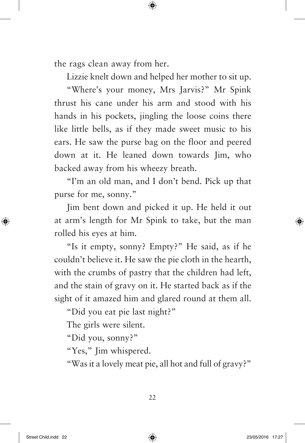the rags clean away from her.

Lizzie knelt down and helped her mother to sit up.

"Where's your money, Mrs Jarvis?" Mr Spink thrust his cane under his arm and stood with his hands in his pockets, jingling the loose coins there like little bells, as if they made sweet music to his ears. He saw the purse bag on the floor and peered down at it. He leaned down towards Jim, who backed away from his wheezy breath.

"I'm an old man, and I don't bend. Pick up that purse for me, sonny."

Jim bent down and picked it up. He held it out at arm's length for Mr Spink to take, but the man rolled his eyes at him.

"Is it empty, sonny? Empty?" He said, as if he couldn't believe it. He saw the pie cloth in the hearth, with the crumbs of pastry that the children had left, and the stain of gravy on it. He started back as if the sight of it amazed him and glared round at them all.

"Did you eat pie last night?"

The girls were silent.

"Did you, sonny?"

"Yes," Jim whispered.

"Was it a lovely meat pie, all hot and full of gravy?"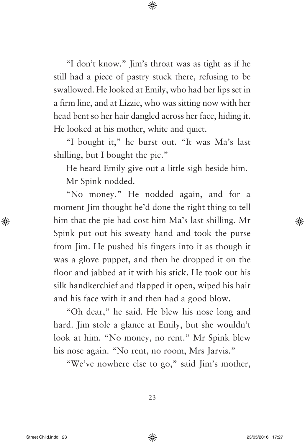"I don't know." Jim's throat was as tight as if he still had a piece of pastry stuck there, refusing to be swallowed. He looked at Emily, who had her lips set in a firm line, and at Lizzie, who was sitting now with her head bent so her hair dangled across her face, hiding it. He looked at his mother, white and quiet.

"I bought it," he burst out. "It was Ma's last shilling, but I bought the pie."

He heard Emily give out a little sigh beside him. Mr Spink nodded.

"No money." He nodded again, and for a moment Jim thought he'd done the right thing to tell him that the pie had cost him Ma's last shilling. Mr Spink put out his sweaty hand and took the purse from Jim. He pushed his fingers into it as though it was a glove puppet, and then he dropped it on the floor and jabbed at it with his stick. He took out his silk handkerchief and flapped it open, wiped his hair and his face with it and then had a good blow.

"Oh dear," he said. He blew his nose long and hard. Jim stole a glance at Emily, but she wouldn't look at him. "No money, no rent." Mr Spink blew his nose again. "No rent, no room, Mrs Jarvis."

"We've nowhere else to go," said Jim's mother,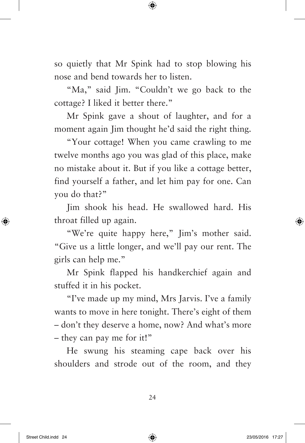so quietly that Mr Spink had to stop blowing his nose and bend towards her to listen.

"Ma," said Jim. "Couldn't we go back to the cottage? I liked it better there."

Mr Spink gave a shout of laughter, and for a moment again Jim thought he'd said the right thing.

"Your cottage! When you came crawling to me twelve months ago you was glad of this place, make no mistake about it. But if you like a cottage better, find yourself a father, and let him pay for one. Can you do that?"

Jim shook his head. He swallowed hard. His throat filled up again.

"We're quite happy here," Jim's mother said. "Give us a little longer, and we'll pay our rent. The girls can help me."

Mr Spink flapped his handkerchief again and stuffed it in his pocket.

"I've made up my mind, Mrs Jarvis. I've a family wants to move in here tonight. There's eight of them – don't they deserve a home, now? And what's more – they can pay me for it!"

He swung his steaming cape back over his shoulders and strode out of the room, and they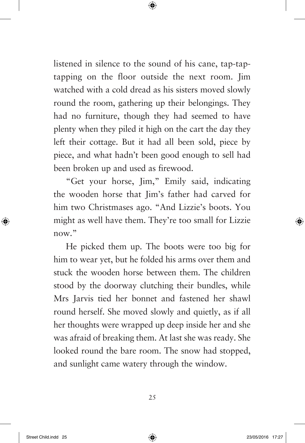listened in silence to the sound of his cane, tap-taptapping on the floor outside the next room. Jim watched with a cold dread as his sisters moved slowly round the room, gathering up their belongings. They had no furniture, though they had seemed to have plenty when they piled it high on the cart the day they left their cottage. But it had all been sold, piece by piece, and what hadn't been good enough to sell had been broken up and used as firewood.

"Get your horse, Jim," Emily said, indicating the wooden horse that Jim's father had carved for him two Christmases ago. "And Lizzie's boots. You might as well have them. They're too small for Lizzie now"

He picked them up. The boots were too big for him to wear yet, but he folded his arms over them and stuck the wooden horse between them. The children stood by the doorway clutching their bundles, while Mrs Jarvis tied her bonnet and fastened her shawl round herself. She moved slowly and quietly, as if all her thoughts were wrapped up deep inside her and she was afraid of breaking them. At last she was ready. She looked round the bare room. The snow had stopped, and sunlight came watery through the window.